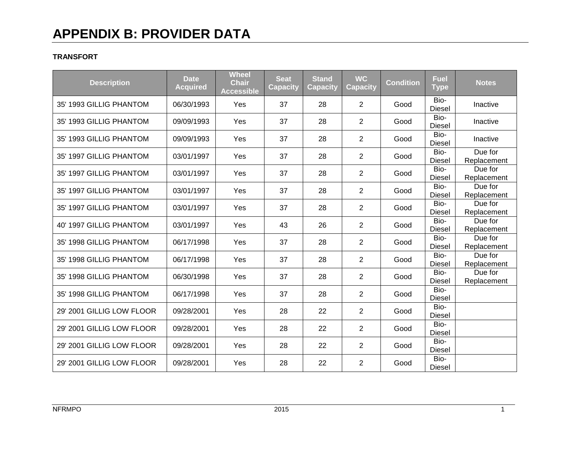#### **TRANSFORT**

| <b>Description</b>        | <b>Date</b><br><b>Acquired</b> | <b>Wheel</b><br><b>Chair</b><br><b>Accessible</b> | <b>Seat</b><br><b>Capacity</b> | <b>Stand</b><br><b>Capacity</b> | <b>WC</b><br><b>Capacity</b> | <b>Condition</b> | <b>Fuel</b><br><b>Type</b> | <b>Notes</b>           |
|---------------------------|--------------------------------|---------------------------------------------------|--------------------------------|---------------------------------|------------------------------|------------------|----------------------------|------------------------|
| 35' 1993 GILLIG PHANTOM   | 06/30/1993                     | Yes                                               | 37                             | 28                              | $\overline{2}$               | Good             | Bio-<br><b>Diesel</b>      | Inactive               |
| 35' 1993 GILLIG PHANTOM   | 09/09/1993                     | Yes                                               | 37                             | 28                              | $\overline{2}$               | Good             | Bio-<br><b>Diesel</b>      | Inactive               |
| 35' 1993 GILLIG PHANTOM   | 09/09/1993                     | Yes                                               | 37                             | 28                              | $\overline{2}$               | Good             | Bio-<br><b>Diesel</b>      | Inactive               |
| 35' 1997 GILLIG PHANTOM   | 03/01/1997                     | Yes                                               | 37                             | 28                              | 2                            | Good             | Bio-<br>Diesel             | Due for<br>Replacement |
| 35' 1997 GILLIG PHANTOM   | 03/01/1997                     | Yes                                               | 37                             | 28                              | 2                            | Good             | Bio-<br><b>Diesel</b>      | Due for<br>Replacement |
| 35' 1997 GILLIG PHANTOM   | 03/01/1997                     | Yes                                               | 37                             | 28                              | $\overline{2}$               | Good             | Bio-<br><b>Diesel</b>      | Due for<br>Replacement |
| 35' 1997 GILLIG PHANTOM   | 03/01/1997                     | Yes                                               | 37                             | 28                              | $\overline{2}$               | Good             | Bio-<br><b>Diesel</b>      | Due for<br>Replacement |
| 40' 1997 GILLIG PHANTOM   | 03/01/1997                     | Yes                                               | 43                             | 26                              | $\overline{2}$               | Good             | Bio-<br><b>Diesel</b>      | Due for<br>Replacement |
| 35' 1998 GILLIG PHANTOM   | 06/17/1998                     | Yes                                               | 37                             | 28                              | $\overline{2}$               | Good             | Bio-<br><b>Diesel</b>      | Due for<br>Replacement |
| 35' 1998 GILLIG PHANTOM   | 06/17/1998                     | Yes                                               | 37                             | 28                              | $\overline{2}$               | Good             | Bio-<br><b>Diesel</b>      | Due for<br>Replacement |
| 35' 1998 GILLIG PHANTOM   | 06/30/1998                     | Yes                                               | 37                             | 28                              | $\overline{2}$               | Good             | Bio-<br><b>Diesel</b>      | Due for<br>Replacement |
| 35' 1998 GILLIG PHANTOM   | 06/17/1998                     | Yes                                               | 37                             | 28                              | $\overline{2}$               | Good             | Bio-<br><b>Diesel</b>      |                        |
| 29' 2001 GILLIG LOW FLOOR | 09/28/2001                     | Yes                                               | 28                             | 22                              | 2                            | Good             | Bio-<br><b>Diesel</b>      |                        |
| 29' 2001 GILLIG LOW FLOOR | 09/28/2001                     | Yes                                               | 28                             | 22                              | $\overline{2}$               | Good             | Bio-<br><b>Diesel</b>      |                        |
| 29' 2001 GILLIG LOW FLOOR | 09/28/2001                     | Yes                                               | 28                             | 22                              | 2                            | Good             | Bio-<br><b>Diesel</b>      |                        |
| 29' 2001 GILLIG LOW FLOOR | 09/28/2001                     | Yes                                               | 28                             | 22                              | 2                            | Good             | Bio-<br><b>Diesel</b>      |                        |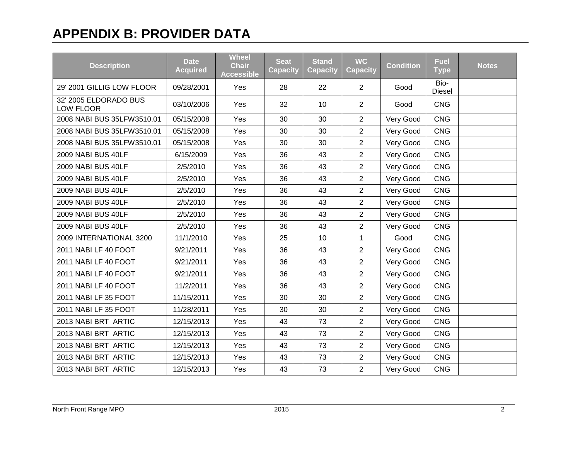| <b>Description</b>                 | <b>Date</b><br><b>Acquired</b> | <b>Wheel</b><br><b>Chair</b><br><b>Accessible</b> | <b>Seat</b><br><b>Capacity</b> | <b>Stand</b><br><b>Capacity</b> | <b>WC</b><br><b>Capacity</b> | <b>Condition</b> | <b>Fuel</b><br><b>Type</b> | <b>Notes</b> |
|------------------------------------|--------------------------------|---------------------------------------------------|--------------------------------|---------------------------------|------------------------------|------------------|----------------------------|--------------|
| 29' 2001 GILLIG LOW FLOOR          | 09/28/2001                     | Yes                                               | 28                             | 22                              | $\overline{2}$               | Good             | Bio-<br><b>Diesel</b>      |              |
| 32' 2005 ELDORADO BUS<br>LOW FLOOR | 03/10/2006                     | Yes                                               | 32                             | 10                              | $\overline{2}$               | Good             | <b>CNG</b>                 |              |
| 2008 NABI BUS 35LFW3510.01         | 05/15/2008                     | Yes                                               | 30                             | 30                              | $\overline{2}$               | Very Good        | <b>CNG</b>                 |              |
| 2008 NABI BUS 35LFW3510.01         | 05/15/2008                     | Yes                                               | 30                             | 30                              | $\overline{2}$               | Very Good        | <b>CNG</b>                 |              |
| 2008 NABI BUS 35LFW3510.01         | 05/15/2008                     | Yes                                               | 30                             | 30                              | $\overline{2}$               | Very Good        | <b>CNG</b>                 |              |
| 2009 NABI BUS 40LF                 | 6/15/2009                      | Yes                                               | 36                             | 43                              | $\overline{2}$               | Very Good        | <b>CNG</b>                 |              |
| 2009 NABI BUS 40LF                 | 2/5/2010                       | Yes                                               | 36                             | 43                              | $\overline{2}$               | Very Good        | <b>CNG</b>                 |              |
| 2009 NABI BUS 40LF                 | 2/5/2010                       | Yes                                               | 36                             | 43                              | $\overline{2}$               | Very Good        | <b>CNG</b>                 |              |
| 2009 NABI BUS 40LF                 | 2/5/2010                       | Yes                                               | 36                             | 43                              | $\overline{2}$               | Very Good        | <b>CNG</b>                 |              |
| 2009 NABI BUS 40LF                 | 2/5/2010                       | Yes                                               | 36                             | 43                              | $\overline{2}$               | Very Good        | <b>CNG</b>                 |              |
| 2009 NABI BUS 40LF                 | 2/5/2010                       | Yes                                               | 36                             | 43                              | $\overline{2}$               | Very Good        | <b>CNG</b>                 |              |
| 2009 NABI BUS 40LF                 | 2/5/2010                       | Yes                                               | 36                             | 43                              | $\overline{2}$               | Very Good        | <b>CNG</b>                 |              |
| 2009 INTERNATIONAL 3200            | 11/1/2010                      | Yes                                               | 25                             | 10                              | $\mathbf{1}$                 | Good             | <b>CNG</b>                 |              |
| 2011 NABI LF 40 FOOT               | 9/21/2011                      | Yes                                               | 36                             | 43                              | $\overline{2}$               | Very Good        | <b>CNG</b>                 |              |
| 2011 NABI LF 40 FOOT               | 9/21/2011                      | Yes                                               | 36                             | 43                              | $\overline{2}$               | Very Good        | <b>CNG</b>                 |              |
| 2011 NABI LF 40 FOOT               | 9/21/2011                      | Yes                                               | 36                             | 43                              | $\overline{2}$               | Very Good        | <b>CNG</b>                 |              |
| 2011 NABI LF 40 FOOT               | 11/2/2011                      | Yes                                               | 36                             | 43                              | $\overline{2}$               | Very Good        | <b>CNG</b>                 |              |
| 2011 NABI LF 35 FOOT               | 11/15/2011                     | Yes                                               | 30                             | 30                              | $\overline{2}$               | Very Good        | <b>CNG</b>                 |              |
| 2011 NABI LF 35 FOOT               | 11/28/2011                     | Yes                                               | 30                             | 30                              | $\overline{2}$               | Very Good        | <b>CNG</b>                 |              |
| 2013 NABI BRT ARTIC                | 12/15/2013                     | Yes                                               | 43                             | 73                              | $\overline{2}$               | Very Good        | <b>CNG</b>                 |              |
| 2013 NABI BRT ARTIC                | 12/15/2013                     | Yes                                               | 43                             | 73                              | $\overline{2}$               | Very Good        | <b>CNG</b>                 |              |
| 2013 NABI BRT ARTIC                | 12/15/2013                     | Yes                                               | 43                             | 73                              | $\overline{2}$               | Very Good        | <b>CNG</b>                 |              |
| 2013 NABI BRT ARTIC                | 12/15/2013                     | Yes                                               | 43                             | 73                              | $\overline{2}$               | Very Good        | <b>CNG</b>                 |              |
| 2013 NABI BRT ARTIC                | 12/15/2013                     | Yes                                               | 43                             | 73                              | $\overline{2}$               | Very Good        | <b>CNG</b>                 |              |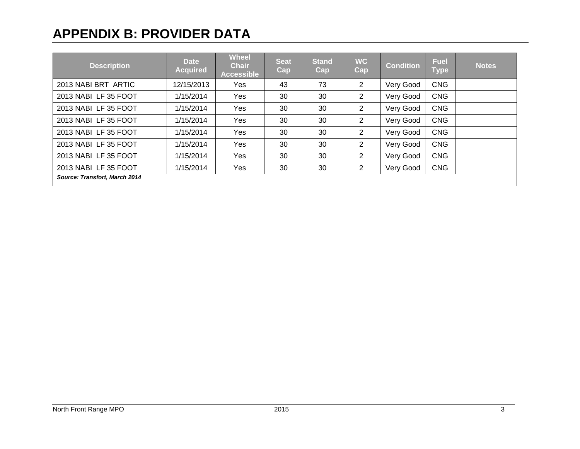| <b>Description</b>            | <b>Date</b><br><b>Acquired</b> | <b>Wheel</b><br><b>Chair</b><br><b>Accessible</b> | <b>Seat</b><br>Cap | <b>Stand</b><br>Cap | <b>WC</b><br>Cap | <b>Condition</b> | <b>Fuel</b><br><b>Type</b> | <b>Notes</b> |  |
|-------------------------------|--------------------------------|---------------------------------------------------|--------------------|---------------------|------------------|------------------|----------------------------|--------------|--|
| 2013 NABI BRT ARTIC           | 12/15/2013                     | Yes                                               | 43                 | 73                  | $\overline{2}$   | Very Good        | <b>CNG</b>                 |              |  |
| 2013 NABILE 35 FOOT           | 1/15/2014                      | Yes                                               | 30                 | 30                  | $\overline{2}$   | Very Good        | <b>CNG</b>                 |              |  |
| 2013 NABILE 35 FOOT           | 1/15/2014                      | Yes                                               | 30                 | 30                  | $\overline{2}$   | Very Good        | <b>CNG</b>                 |              |  |
| 2013 NABILE 35 FOOT           | 1/15/2014                      | Yes                                               | 30                 | 30                  | $\overline{2}$   | Very Good        | <b>CNG</b>                 |              |  |
| 2013 NABILE 35 FOOT           | 1/15/2014                      | Yes                                               | 30                 | 30                  | $\overline{2}$   | Very Good        | <b>CNG</b>                 |              |  |
| 2013 NABILE 35 FOOT           | 1/15/2014                      | Yes                                               | 30                 | 30                  | $\overline{2}$   | Very Good        | <b>CNG</b>                 |              |  |
| 2013 NABILE 35 FOOT           | 1/15/2014                      | Yes                                               | 30                 | 30                  | $\overline{2}$   | Very Good        | <b>CNG</b>                 |              |  |
| 2013 NABILE 35 FOOT           | 1/15/2014                      | Yes                                               | 30                 | 30                  | $\overline{2}$   | Very Good        | <b>CNG</b>                 |              |  |
| Source: Transfort, March 2014 |                                |                                                   |                    |                     |                  |                  |                            |              |  |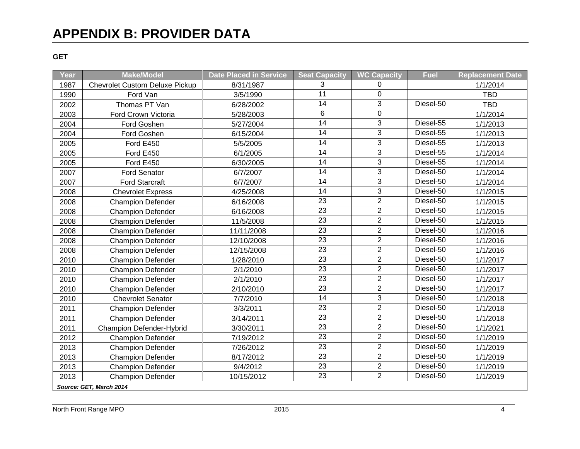#### **GET**

| Year                    | <b>Make/Model</b>                     | <b>Date Placed in Service</b> | <b>Seat Capacity</b> | <b>WC Capacity</b> | <b>Fuel</b> | <b>Replacement Date</b> |  |  |  |
|-------------------------|---------------------------------------|-------------------------------|----------------------|--------------------|-------------|-------------------------|--|--|--|
| 1987                    | <b>Chevrolet Custom Deluxe Pickup</b> | 8/31/1987                     | 3                    | 0                  |             | 1/1/2014                |  |  |  |
| 1990                    | Ford Van                              | 3/5/1990                      | $\overline{11}$      | $\Omega$           |             | <b>TBD</b>              |  |  |  |
| 2002                    | Thomas PT Van                         | 6/28/2002                     | 14                   | 3                  | Diesel-50   | <b>TBD</b>              |  |  |  |
| 2003                    | Ford Crown Victoria                   | 5/28/2003                     | 6                    | $\mathbf 0$        |             | 1/1/2014                |  |  |  |
| 2004                    | Ford Goshen                           | 5/27/2004                     | 14                   | 3                  | Diesel-55   | 1/1/2013                |  |  |  |
| 2004                    | Ford Goshen                           | 6/15/2004                     | 14                   | 3                  | Diesel-55   | 1/1/2013                |  |  |  |
| 2005                    | Ford E450                             | 5/5/2005                      | $\overline{14}$      | $\overline{3}$     | Diesel-55   | 1/1/2013                |  |  |  |
| 2005                    | Ford E450                             | 6/1/2005                      | $\overline{14}$      | $\overline{3}$     | Diesel-55   | 1/1/2014                |  |  |  |
| 2005                    | Ford E450                             | 6/30/2005                     | 14                   | 3                  | Diesel-55   | 1/1/2014                |  |  |  |
| 2007                    | Ford Senator                          | 6/7/2007                      | 14                   | 3                  | Diesel-50   | 1/1/2014                |  |  |  |
| 2007                    | <b>Ford Starcraft</b>                 | 6/7/2007                      | 14                   | 3                  | Diesel-50   | 1/1/2014                |  |  |  |
| 2008                    | <b>Chevrolet Express</b>              | 4/25/2008                     | 14                   | 3                  | Diesel-50   | 1/1/2015                |  |  |  |
| 2008                    | <b>Champion Defender</b>              | 6/16/2008                     | 23                   | $\overline{2}$     | Diesel-50   | 1/1/2015                |  |  |  |
| 2008                    | <b>Champion Defender</b>              | 6/16/2008                     | $\overline{23}$      | $\overline{2}$     | Diesel-50   | 1/1/2015                |  |  |  |
| 2008                    | <b>Champion Defender</b>              | 11/5/2008                     | 23                   | $\overline{2}$     | Diesel-50   | 1/1/2015                |  |  |  |
| 2008                    | <b>Champion Defender</b>              | 11/11/2008                    | $\overline{23}$      | $\overline{2}$     | Diesel-50   | 1/1/2016                |  |  |  |
| 2008                    | <b>Champion Defender</b>              | 12/10/2008                    | 23                   | $\overline{2}$     | Diesel-50   | 1/1/2016                |  |  |  |
| 2008                    | <b>Champion Defender</b>              | 12/15/2008                    | 23                   | $\overline{c}$     | Diesel-50   | 1/1/2016                |  |  |  |
| 2010                    | <b>Champion Defender</b>              | 1/28/2010                     | $\overline{23}$      | $\overline{2}$     | Diesel-50   | 1/1/2017                |  |  |  |
| 2010                    | <b>Champion Defender</b>              | 2/1/2010                      | 23                   | $\overline{2}$     | Diesel-50   | 1/1/2017                |  |  |  |
| 2010                    | <b>Champion Defender</b>              | 2/1/2010                      | $\overline{23}$      | $\overline{2}$     | Diesel-50   | 1/1/2017                |  |  |  |
| 2010                    | <b>Champion Defender</b>              | 2/10/2010                     | $\overline{23}$      | $\overline{2}$     | Diesel-50   | 1/1/2017                |  |  |  |
| 2010                    | <b>Chevrolet Senator</b>              | 7/7/2010                      | 14                   | 3                  | Diesel-50   | 1/1/2018                |  |  |  |
| 2011                    | <b>Champion Defender</b>              | 3/3/2011                      | 23                   | $\overline{2}$     | Diesel-50   | 1/1/2018                |  |  |  |
| 2011                    | <b>Champion Defender</b>              | 3/14/2011                     | 23                   | $\overline{2}$     | Diesel-50   | 1/1/2018                |  |  |  |
| 2011                    | <b>Champion Defender-Hybrid</b>       | 3/30/2011                     | 23                   | $\overline{c}$     | Diesel-50   | 1/1/2021                |  |  |  |
| 2012                    | <b>Champion Defender</b>              | 7/19/2012                     | 23                   | $\overline{c}$     | Diesel-50   | 1/1/2019                |  |  |  |
| 2013                    | <b>Champion Defender</b>              | 7/26/2012                     | 23                   | $\overline{2}$     | Diesel-50   | 1/1/2019                |  |  |  |
| 2013                    | <b>Champion Defender</b>              | 8/17/2012                     | 23                   | $\overline{2}$     | Diesel-50   | 1/1/2019                |  |  |  |
| 2013                    | <b>Champion Defender</b>              | 9/4/2012                      | 23                   | $\overline{2}$     | Diesel-50   | 1/1/2019                |  |  |  |
| 2013                    | <b>Champion Defender</b>              | 10/15/2012                    | 23                   | $\overline{2}$     | Diesel-50   | 1/1/2019                |  |  |  |
| Source: GET, March 2014 |                                       |                               |                      |                    |             |                         |  |  |  |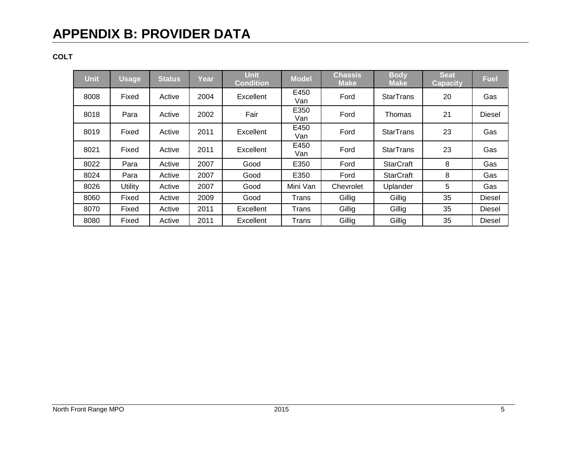### **COLT**

| <b>Unit</b> | <b>Usage</b> | <b>Status</b> | Year | <b>Unit</b><br><b>Condition</b> | <b>Model</b> | <b>Chassis</b><br><b>Make</b> | <b>Body</b><br><b>Make</b> | <b>Seat</b><br><b>Capacity</b> | <b>Fuel</b>   |
|-------------|--------------|---------------|------|---------------------------------|--------------|-------------------------------|----------------------------|--------------------------------|---------------|
| 8008        | Fixed        | Active        | 2004 | Excellent                       | E450<br>Van  | Ford                          | <b>StarTrans</b>           | 20                             | Gas           |
| 8018        | Para         | Active        | 2002 | Fair                            | E350<br>Van  | Ford                          | Thomas                     | 21                             | <b>Diesel</b> |
| 8019        | Fixed        | Active        | 2011 | Excellent                       | E450<br>Van  | Ford                          | <b>StarTrans</b>           | 23                             | Gas           |
| 8021        | Fixed        | Active        | 2011 | Excellent                       | E450<br>Van  | Ford                          | <b>StarTrans</b>           | 23                             | Gas           |
| 8022        | Para         | Active        | 2007 | Good                            | E350         | Ford                          | <b>StarCraft</b>           | 8                              | Gas           |
| 8024        | Para         | Active        | 2007 | Good                            | E350         | Ford                          | <b>StarCraft</b>           | 8                              | Gas           |
| 8026        | Utility      | Active        | 2007 | Good                            | Mini Van     | Chevrolet                     | Uplander                   | 5                              | Gas           |
| 8060        | Fixed        | Active        | 2009 | Good                            | Trans        | Gillig                        | Gillig                     | 35                             | <b>Diesel</b> |
| 8070        | Fixed        | Active        | 2011 | Excellent                       | Trans        | Gillig                        | Gillig                     | 35                             | <b>Diesel</b> |
| 8080        | Fixed        | Active        | 2011 | Excellent                       | Trans        | Gillig                        | Gillig                     | 35                             | <b>Diesel</b> |